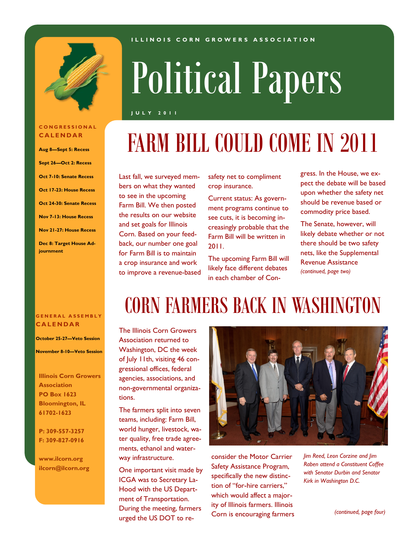

#### **C O N G R E S S I O N A L C A L E N D A R**

**Aug 8—Sept 5: Recess Sept 26—Oct 2: Recess Oct 7-10: Senate Recess Oct 17-23: House Recess Oct 24-30: Senate Recess Nov 7-13: House Recess Nov 21-27: House Recess**

**Dec 8: Target House Adjournment**

#### **I L L I N O I S C O R N G R O W E R S A S S O C I A T I O N**

# Political Papers

**J U L Y 2 0 1 1**

# FARM BILL COULD COME IN 2011

Last fall, we surveyed members on what they wanted to see in the upcoming Farm Bill. We then posted the results on our website and set goals for Illinois Corn. Based on your feedback, our number one goal for Farm Bill is to maintain a crop insurance and work to improve a revenue-based

safety net to compliment crop insurance.

Current status: As government programs continue to see cuts, it is becoming increasingly probable that the Farm Bill will be written in 2011.

The upcoming Farm Bill will likely face different debates in each chamber of Con-

CORN FARMERS BACK IN WASHINGTON

gress. In the House, we expect the debate will be based upon whether the safety net should be revenue based or commodity price based.

The Senate, however, will likely debate whether or not there should be two safety nets, like the Supplemental Revenue Assistance *(continued, page two)*

#### **G E N E R A L A S S E M B L Y C A L E N D A R**

**October 25-27—Veto Session**

**November 8-10—Veto Session**

**Illinois Corn Growers Association PO Box 1623 Bloomington, IL 61702-1623**

**P: 309-557-3257 F: 309-827-0916**

**www.ilcorn.org ilcorn@ilcorn.org** The Illinois Corn Growers Association returned to Washington, DC the week of July 11th, visiting 46 congressional offices, federal agencies, associations, and non-governmental organizations.

The farmers split into seven teams, including: Farm Bill, world hunger, livestock, water quality, free trade agreements, ethanol and waterway infrastructure.

One important visit made by ICGA was to Secretary La-Hood with the US Department of Transportation. During the meeting, farmers urged the US DOT to re-



consider the Motor Carrier Safety Assistance Program, specifically the new distinction of "for-hire carriers," which would affect a majority of Illinois farmers. Illinois Corn is encouraging farmers *Jim Reed, Leon Corzine and Jim Raben attend a Constituent Coffee with Senator Durbin and Senator Kirk in Washington D.C.*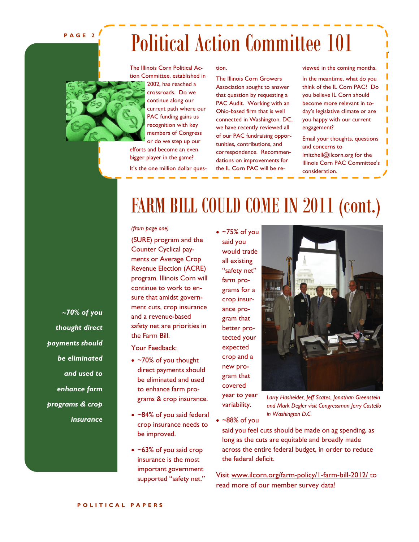#### **P A G E 2**

# Political Action Committee 101

The Illinois Corn Political Action Committee, established in 2002, has reached a crossroads. Do we continue along our current path where our PAC funding gains us recognition with key members of Congress or do we step up our efforts and become an even bigger player in the game?

It's the one million dollar ques-

tion.

The Illinois Corn Growers Association sought to answer that question by requesting a PAC Audit. Working with an Ohio-based firm that is well connected in Washington, DC, we have recently reviewed all of our PAC fundraising opportunities, contributions, and correspondence. Recommendations on improvements for the IL Corn PAC will be reviewed in the coming months. In the meantime, what do you think of the IL Corn PAC? Do you believe IL Corn should become more relevant in today's legislative climate or are you happy with our current engagement?

Email your thoughts, questions and concerns to lmitchell@ilcorn.org for the Illinois Corn PAC Committee's consideration.

## FARM BILL COULD COME IN 2011 (cont.)

#### *(from page one)*

(SURE) program and the Counter Cyclical payments or Average Crop Revenue Election (ACRE) program. Illinois Corn will continue to work to ensure that amidst government cuts, crop insurance and a revenue-based safety net are priorities in the Farm Bill.

Your Feedback:

- ~70% of you thought direct payments should be eliminated and used to enhance farm programs & crop insurance.
- ~84% of you said federal crop insurance needs to be improved.
- $\bullet$  ~63% of you said crop insurance is the most important government supported "safety net."

 $\bullet$  ~75% of you said you would trade all existing "safety net" farm programs for a crop insurance program that better protected your expected crop and a new program that covered year to year



*Larry Hasheider, Jeff Scates, Jonathan Greenstein and Mark Degler visit Congressman Jerry Costello in Washington D.C.*

 $\sim$   $-88\%$  of you

variability.

said you feel cuts should be made on ag spending, as long as the cuts are equitable and broadly made across the entire federal budget, in order to reduce the federal deficit.

Visit www.ilcorn.org/farm-policy/1-farm-bill-2012/ to read more of our member survey data!

*~70% of you thought direct payments should be eliminated and used to enhance farm programs & crop insurance*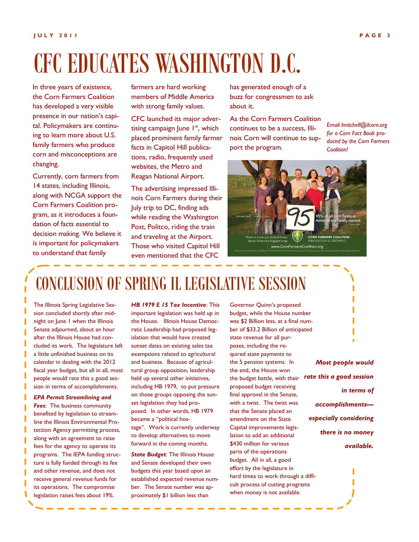# CFC EDUCATES WASHINGTON D.C.

In three years of existence, the Corn Farmers Coalition has developed a very visible presence in our nation's capital. Policymakers are continuing to learn more about U.S. family farmers who produce corn and misconceptions are changing.

Currently, corn farmers from 14 states, including Illinois, along with NCGA support the Corn Farmers Coalition program, as it introduces a foundation of facts essential to decision making. We believe it is important for policymakers to understand that family

farmers are hard working members of Middle America with strong family values.

CFC launched its major advertising campaign June  $1<sup>st</sup>$ , which placed prominent family farmer facts in Capitol Hill publications, radio, frequently used websites, the Metro and Reagan National Airport.

The advertising impressed Illinois Corn Farmers during their July trip to DC, finding ads while reading the Washington Post, Politco, riding the train and traveling at the Airport. Those who visited Capitol Hill even mentioned that the CFC

has generated enough of a buzz for congressmen to ask about it.

As the Corn Farmers Coalition continues to be a success, Illinois Corn will continue to support the program.

*Email lmitchell@ilcorn.org for a Corn Fact Book produced by the Corn Farmers Coalition!*



### CONCLUSION OF SPRING IL LEGISLATIVE SESSION

The Illinois Spring Legislative Session concluded shortly after midnight on June 1 when the Illinois Senate adjourned, about an hour after the Illinois House had concluded its work. The legislature left a little unfinished business on its calendar in dealing with the 2012 fiscal year budget, but all in all, most people would rate this a good session in terms of accomplishments.

*EPA Permit Streamlining and Fees*: The business community benefited by legislation to streamline the Illinois Environmental Protection Agency permitting process, along with an agreement to raise fees for the agency to operate its programs. The IEPA funding structure is fully funded through its fee and other revenue, and does not receive general revenue funds for its operations. The compromise legislation raises fees about 19%.

*HB 1979 E 15 Tax Incentive*: This important legislation was held up in the House. Illinois House Democratic Leadership had proposed legislation that would have created sunset dates on existing sales tax exemptions related to agricultural and business. Because of agricultural group opposition, leadership held up several other initiatives, including HB 1979, to put pressure on those groups opposing the sunset legislation they had proposed. In other words, HB 1979 became a "political hostage". Work is currently underway to develop alternatives to move forward in the coming months.

*State Budget*: The Illinois House and Senate developed their own budgets this year based upon an established expected revenue number. The Senate number was approximately \$1 billion less than

Governor Quinn's proposed budget, while the House number was \$2 Billion less, at a final number of \$33.2 Billion of anticipated state revenue for all purposes, including the required state payments to the 5 pension systems. In the end, the House won the budget battle, with their proposed budget receiving final approval in the Senate, with a twist. The twist was that the Senate placed an amendment on the State Capital improvements legislation to add an additional \$430 million for various parts of the operations budget. All in all, a good effort by the legislature in hard times to work through a difficult process of cutting programs when money is not available.

*Most people would rate this a good session in terms of accomplishments especially considering there is no money available.*